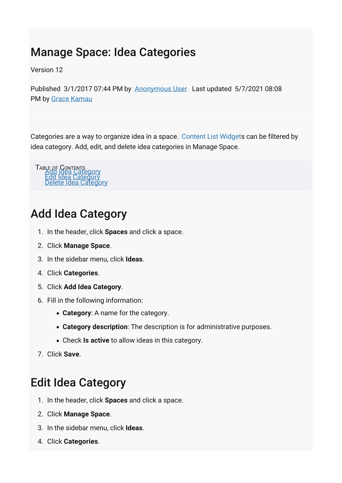## Manage Space: Idea Categories

Version 12

Published 3/1/2017 07:44 PM by [Anonymous User](https://my.axerosolutions.com/people/Anonymous) Last updated 5/7/2021 08:08 PM by [Grace Kamau](https://my.axerosolutions.com/people/gskamau)

Categories are a way to organize idea in a space. [Content List Widgets](https://my.axerosolutions.com/spaces/5/communifire-documentation/wiki/view/22587/content-list-widget) can be filtered by idea category. Add, edit, and delete idea categories in Manage Space.

TABLE OF CONTENTS<br>[Add Idea Category](#page-0-0)<br>[Edit Idea Category](#page-0-1)<br>[Delete Idea Category](#page-1-0)

## <span id="page-0-0"></span>Add Idea Category

- 1. In the header, click **Spaces** and click a space.
- 2. Click **Manage Space**.
- 3. In the sidebar menu, click **Ideas**.
- 4. Click **Categories**.
- 5. Click **Add Idea Category**.
- 6. Fill in the following information:
	- **Category**: A name for the category.
	- **Category description**: The description is for administrative purposes.
	- Check **Is active** to allow ideas in this category.
- <span id="page-0-1"></span>7. Click **Save**.

## Edit Idea Category

- 1. In the header, click **Spaces** and click a space.
- 2. Click **Manage Space**.
- 3. In the sidebar menu, click **Ideas**.
- 4. Click **Categories**.